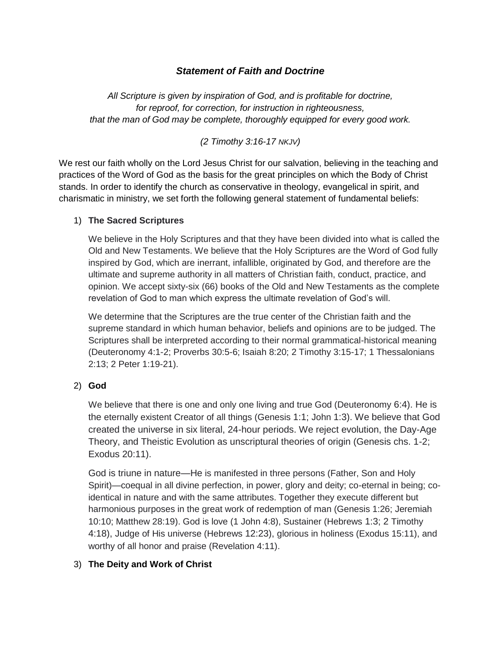# *Statement of Faith and Doctrine*

*All Scripture is given by inspiration of God, and is profitable for doctrine, for reproof, for correction, for instruction in righteousness, that the man of God may be complete, thoroughly equipped for every good work.* 

*(2 Timothy 3:16-17 NKJV)*

We rest our faith wholly on the Lord Jesus Christ for our salvation, believing in the teaching and practices of the Word of God as the basis for the great principles on which the Body of Christ stands. In order to identify the church as conservative in theology, evangelical in spirit, and charismatic in ministry, we set forth the following general statement of fundamental beliefs:

### 1) **The Sacred Scriptures**

We believe in the Holy Scriptures and that they have been divided into what is called the Old and New Testaments. We believe that the Holy Scriptures are the Word of God fully inspired by God, which are inerrant, infallible, originated by God, and therefore are the ultimate and supreme authority in all matters of Christian faith, conduct, practice, and opinion. We accept sixty-six (66) books of the Old and New Testaments as the complete revelation of God to man which express the ultimate revelation of God's will.

We determine that the Scriptures are the true center of the Christian faith and the supreme standard in which human behavior, beliefs and opinions are to be judged. The Scriptures shall be interpreted according to their normal grammatical-historical meaning (Deuteronomy 4:1-2; Proverbs 30:5-6; Isaiah 8:20; 2 Timothy 3:15-17; 1 Thessalonians 2:13; 2 Peter 1:19-21).

# 2) **God**

We believe that there is one and only one living and true God (Deuteronomy 6:4). He is the eternally existent Creator of all things (Genesis 1:1; John 1:3). We believe that God created the universe in six literal, 24-hour periods. We reject evolution, the Day-Age Theory, and Theistic Evolution as unscriptural theories of origin (Genesis chs. 1-2; Exodus 20:11).

God is triune in nature—He is manifested in three persons (Father, Son and Holy Spirit)—coequal in all divine perfection, in power, glory and deity; co-eternal in being; coidentical in nature and with the same attributes. Together they execute different but harmonious purposes in the great work of redemption of man (Genesis 1:26; Jeremiah 10:10; Matthew 28:19). God is love (1 John 4:8), Sustainer (Hebrews 1:3; 2 Timothy 4:18), Judge of His universe (Hebrews 12:23), glorious in holiness (Exodus 15:11), and worthy of all honor and praise (Revelation 4:11).

# 3) **The Deity and Work of Christ**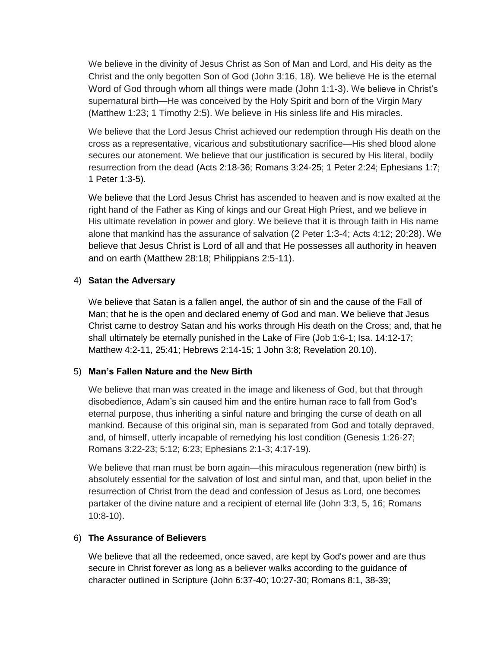We believe in the divinity of Jesus Christ as Son of Man and Lord, and His deity as the Christ and the only begotten Son of God (John 3:16, 18). We believe He is the eternal Word of God through whom all things were made (John 1:1-3). We believe in Christ's supernatural birth—He was conceived by the Holy Spirit and born of the Virgin Mary (Matthew 1:23; 1 Timothy 2:5). We believe in His sinless life and His miracles.

We believe that the Lord Jesus Christ achieved our redemption through His death on the cross as a representative, vicarious and substitutionary sacrifice—His shed blood alone secures our atonement. We believe that our justification is secured by His literal, bodily resurrection from the dead (Acts 2:18-36; Romans 3:24-25; 1 Peter 2:24; Ephesians 1:7; 1 Peter 1:3-5).

We believe that the Lord Jesus Christ has ascended to heaven and is now exalted at the right hand of the Father as King of kings and our Great High Priest, and we believe in His ultimate revelation in power and glory. We believe that it is through faith in His name alone that mankind has the assurance of salvation (2 Peter 1:3-4; Acts 4:12; 20:28). We believe that Jesus Christ is Lord of all and that He possesses all authority in heaven and on earth (Matthew 28:18; Philippians 2:5-11).

### 4) **Satan the Adversary**

We believe that Satan is a fallen angel, the author of sin and the cause of the Fall of Man; that he is the open and declared enemy of God and man. We believe that Jesus Christ came to destroy Satan and his works through His death on the Cross; and, that he shall ultimately be eternally punished in the Lake of Fire (Job 1:6-1; Isa. 14:12-17; Matthew 4:2-11, 25:41; Hebrews 2:14-15; 1 John 3:8; Revelation 20.10).

# 5) **Man's Fallen Nature and the New Birth**

We believe that man was created in the image and likeness of God, but that through disobedience, Adam's sin caused him and the entire human race to fall from God's eternal purpose, thus inheriting a sinful nature and bringing the curse of death on all mankind. Because of this original sin, man is separated from God and totally depraved, and, of himself, utterly incapable of remedying his lost condition (Genesis 1:26-27; Romans 3:22-23; 5:12; 6:23; Ephesians 2:1-3; 4:17-19).

We believe that man must be born again—this miraculous regeneration (new birth) is absolutely essential for the salvation of lost and sinful man, and that, upon belief in the resurrection of Christ from the dead and confession of Jesus as Lord, one becomes partaker of the divine nature and a recipient of eternal life (John 3:3, 5, 16; Romans 10:8-10).

# 6) **The Assurance of Believers**

We believe that all the redeemed, once saved, are kept by God's power and are thus secure in Christ forever as long as a believer walks according to the guidance of character outlined in Scripture (John 6:37-40; 10:27-30; Romans 8:1, 38-39;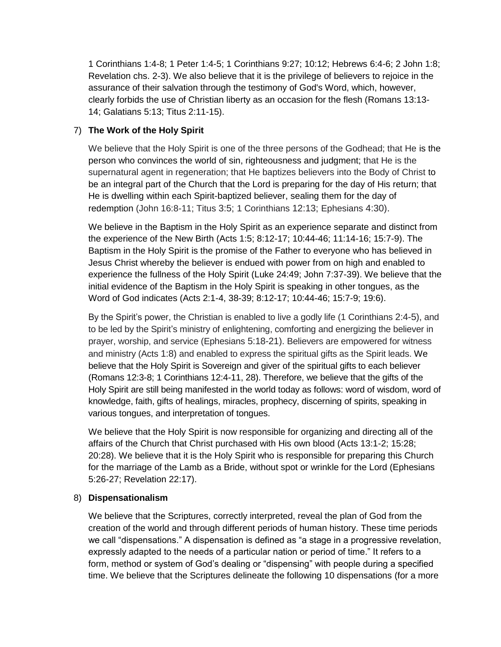1 Corinthians 1:4-8; 1 Peter 1:4-5; 1 Corinthians 9:27; 10:12; Hebrews 6:4-6; 2 John 1:8; Revelation chs. 2-3). We also believe that it is the privilege of believers to rejoice in the assurance of their salvation through the testimony of God's Word, which, however, clearly forbids the use of Christian liberty as an occasion for the flesh (Romans 13:13- 14; Galatians 5:13; Titus 2:11-15).

# 7) **The Work of the Holy Spirit**

We believe that the Holy Spirit is one of the three persons of the Godhead; that He is the person who convinces the world of sin, righteousness and judgment; that He is the supernatural agent in regeneration; that He baptizes believers into the Body of Christ to be an integral part of the Church that the Lord is preparing for the day of His return; that He is dwelling within each Spirit-baptized believer, sealing them for the day of redemption (John 16:8-11; Titus 3:5; 1 Corinthians 12:13; Ephesians 4:30).

We believe in the Baptism in the Holy Spirit as an experience separate and distinct from the experience of the New Birth (Acts 1:5; 8:12-17; 10:44-46; 11:14-16; 15:7-9). The Baptism in the Holy Spirit is the promise of the Father to everyone who has believed in Jesus Christ whereby the believer is endued with power from on high and enabled to experience the fullness of the Holy Spirit (Luke 24:49; John 7:37-39). We believe that the initial evidence of the Baptism in the Holy Spirit is speaking in other tongues, as the Word of God indicates (Acts 2:1-4, 38-39; 8:12-17; 10:44-46; 15:7-9; 19:6).

By the Spirit's power, the Christian is enabled to live a godly life (1 Corinthians 2:4-5), and to be led by the Spirit's ministry of enlightening, comforting and energizing the believer in prayer, worship, and service (Ephesians 5:18-21). Believers are empowered for witness and ministry (Acts 1:8) and enabled to express the spiritual gifts as the Spirit leads. We believe that the Holy Spirit is Sovereign and giver of the spiritual gifts to each believer (Romans 12:3-8; 1 Corinthians 12:4-11, 28). Therefore, we believe that the gifts of the Holy Spirit are still being manifested in the world today as follows: word of wisdom, word of knowledge, faith, gifts of healings, miracles, prophecy, discerning of spirits, speaking in various tongues, and interpretation of tongues.

We believe that the Holy Spirit is now responsible for organizing and directing all of the affairs of the Church that Christ purchased with His own blood (Acts 13:1-2; 15:28; 20:28). We believe that it is the Holy Spirit who is responsible for preparing this Church for the marriage of the Lamb as a Bride, without spot or wrinkle for the Lord (Ephesians 5:26-27; Revelation 22:17).

# 8) **Dispensationalism**

We believe that the Scriptures, correctly interpreted, reveal the plan of God from the creation of the world and through different periods of human history. These time periods we call "dispensations." A dispensation is defined as "a stage in a progressive revelation, expressly adapted to the needs of a particular nation or period of time." It refers to a form, method or system of God's dealing or "dispensing" with people during a specified time. We believe that the Scriptures delineate the following 10 dispensations (for a more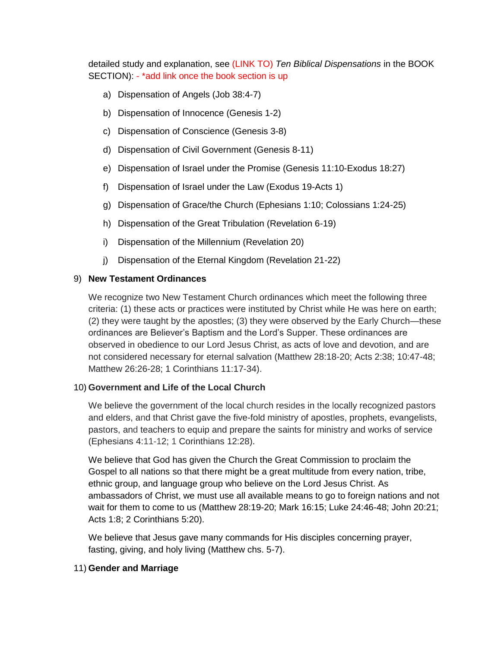detailed study and explanation, see (LINK TO) *Ten Biblical Dispensations* in the BOOK SECTION): - \*add link once the book section is up

- a) Dispensation of Angels (Job 38:4-7)
- b) Dispensation of Innocence (Genesis 1-2)
- c) Dispensation of Conscience (Genesis 3-8)
- d) Dispensation of Civil Government (Genesis 8-11)
- e) Dispensation of Israel under the Promise (Genesis 11:10-Exodus 18:27)
- f) Dispensation of Israel under the Law (Exodus 19-Acts 1)
- g) Dispensation of Grace/the Church (Ephesians 1:10; Colossians 1:24-25)
- h) Dispensation of the Great Tribulation (Revelation 6-19)
- i) Dispensation of the Millennium (Revelation 20)
- j) Dispensation of the Eternal Kingdom (Revelation 21-22)

### 9) **New Testament Ordinances**

We recognize two New Testament Church ordinances which meet the following three criteria: (1) these acts or practices were instituted by Christ while He was here on earth; (2) they were taught by the apostles; (3) they were observed by the Early Church—these ordinances are Believer's Baptism and the Lord's Supper. These ordinances are observed in obedience to our Lord Jesus Christ, as acts of love and devotion, and are not considered necessary for eternal salvation (Matthew 28:18-20; Acts 2:38; 10:47-48; Matthew 26:26-28; 1 Corinthians 11:17-34).

### 10) **Government and Life of the Local Church**

We believe the government of the local church resides in the locally recognized pastors and elders, and that Christ gave the five-fold ministry of apostles, prophets, evangelists, pastors, and teachers to equip and prepare the saints for ministry and works of service (Ephesians 4:11-12; 1 Corinthians 12:28).

We believe that God has given the Church the Great Commission to proclaim the Gospel to all nations so that there might be a great multitude from every nation, tribe, ethnic group, and language group who believe on the Lord Jesus Christ. As ambassadors of Christ, we must use all available means to go to foreign nations and not wait for them to come to us (Matthew 28:19-20; Mark 16:15; Luke 24:46-48; John 20:21; Acts 1:8; 2 Corinthians 5:20).

We believe that Jesus gave many commands for His disciples concerning prayer, fasting, giving, and holy living (Matthew chs. 5-7).

### 11) **Gender and Marriage**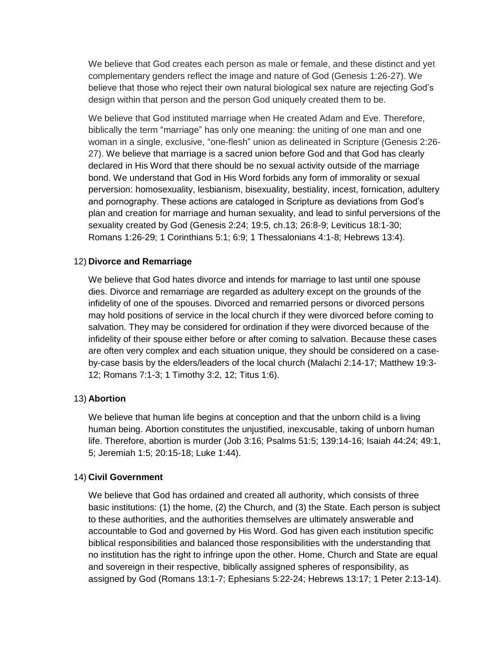We believe that God creates each person as male or female, and these distinct and yet complementary genders reflect the image and nature of God (Genesis 1:26-27). We believe that those who reject their own natural biological sex nature are rejecting God's design within that person and the person God uniquely created them to be.

We believe that God instituted marriage when He created Adam and Eve. Therefore, biblically the term "marriage" has only one meaning: the uniting of one man and one woman in a single, exclusive, "one-flesh" union as delineated in Scripture (Genesis 2:26- 27). We believe that marriage is a sacred union before God and that God has clearly declared in His Word that there should be no sexual activity outside of the marriage bond. We understand that God in His Word forbids any form of immorality or sexual perversion: homosexuality, lesbianism, bisexuality, bestiality, incest, fornication, adultery and pornography. These actions are cataloged in Scripture as deviations from God's plan and creation for marriage and human sexuality, and lead to sinful perversions of the sexuality created by God (Genesis 2:24; 19:5, ch.13; 26:8-9; Leviticus 18:1-30; Romans 1:26-29; 1 Corinthians 5:1; 6:9; 1 Thessalonians 4:1-8; Hebrews 13:4).

#### 12) **Divorce and Remarriage**

We believe that God hates divorce and intends for marriage to last until one spouse dies. Divorce and remarriage are regarded as adultery except on the grounds of the infidelity of one of the spouses. Divorced and remarried persons or divorced persons may hold positions of service in the local church if they were divorced before coming to salvation. They may be considered for ordination if they were divorced because of the infidelity of their spouse either before or after coming to salvation. Because these cases are often very complex and each situation unique, they should be considered on a caseby-case basis by the elders/leaders of the local church (Malachi 2:14-17; Matthew 19:3- 12; Romans 7:1-3; 1 Timothy 3:2, 12; Titus 1:6).

#### 13) **Abortion**

We believe that human life begins at conception and that the unborn child is a living human being. Abortion constitutes the unjustified, inexcusable, taking of unborn human life. Therefore, abortion is murder (Job 3:16; Psalms 51:5; 139:14-16; Isaiah 44:24; 49:1, 5; Jeremiah 1:5; 20:15-18; Luke 1:44).

### 14) **Civil Government**

We believe that God has ordained and created all authority, which consists of three basic institutions: (1) the home, (2) the Church, and (3) the State. Each person is subject to these authorities, and the authorities themselves are ultimately answerable and accountable to God and governed by His Word. God has given each institution specific biblical responsibilities and balanced those responsibilities with the understanding that no institution has the right to infringe upon the other. Home, Church and State are equal and sovereign in their respective, biblically assigned spheres of responsibility, as assigned by God (Romans 13:1-7; Ephesians 5:22-24; Hebrews 13:17; 1 Peter 2:13-14).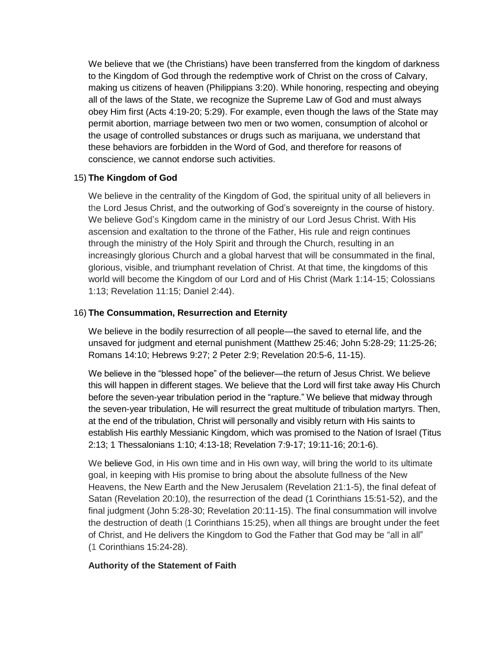We believe that we (the Christians) have been transferred from the kingdom of darkness to the Kingdom of God through the redemptive work of Christ on the cross of Calvary, making us citizens of heaven (Philippians 3:20). While honoring, respecting and obeying all of the laws of the State, we recognize the Supreme Law of God and must always obey Him first (Acts 4:19-20; 5:29). For example, even though the laws of the State may permit abortion, marriage between two men or two women, consumption of alcohol or the usage of controlled substances or drugs such as marijuana, we understand that these behaviors are forbidden in the Word of God, and therefore for reasons of conscience, we cannot endorse such activities.

### 15) **The Kingdom of God**

We believe in the centrality of the Kingdom of God, the spiritual unity of all believers in the Lord Jesus Christ, and the outworking of God's sovereignty in the course of history. We believe God's Kingdom came in the ministry of our Lord Jesus Christ. With His ascension and exaltation to the throne of the Father, His rule and reign continues through the ministry of the Holy Spirit and through the Church, resulting in an increasingly glorious Church and a global harvest that will be consummated in the final, glorious, visible, and triumphant revelation of Christ. At that time, the kingdoms of this world will become the Kingdom of our Lord and of His Christ (Mark 1:14-15; Colossians 1:13; Revelation 11:15; Daniel 2:44).

### 16) **The Consummation, Resurrection and Eternity**

We believe in the bodily resurrection of all people—the saved to eternal life, and the unsaved for judgment and eternal punishment (Matthew 25:46; John 5:28-29; 11:25-26; Romans 14:10; Hebrews 9:27; 2 Peter 2:9; Revelation 20:5-6, 11-15).

We believe in the "blessed hope" of the believer—the return of Jesus Christ. We believe this will happen in different stages. We believe that the Lord will first take away His Church before the seven-year tribulation period in the "rapture." We believe that midway through the seven-year tribulation, He will resurrect the great multitude of tribulation martyrs. Then, at the end of the tribulation, Christ will personally and visibly return with His saints to establish His earthly Messianic Kingdom, which was promised to the Nation of Israel (Titus 2:13; 1 Thessalonians 1:10; 4:13-18; Revelation 7:9-17; 19:11-16; 20:1-6).

We believe God, in His own time and in His own way, will bring the world to its ultimate goal, in keeping with His promise to bring about the absolute fullness of the New Heavens, the New Earth and the New Jerusalem (Revelation 21:1-5), the final defeat of Satan (Revelation 20:10), the resurrection of the dead (1 Corinthians 15:51-52), and the final judgment (John 5:28-30; Revelation 20:11-15). The final consummation will involve the destruction of death (1 Corinthians 15:25), when all things are brought under the feet of Christ, and He delivers the Kingdom to God the Father that God may be "all in all" (1 Corinthians 15:24-28).

### **Authority of the Statement of Faith**